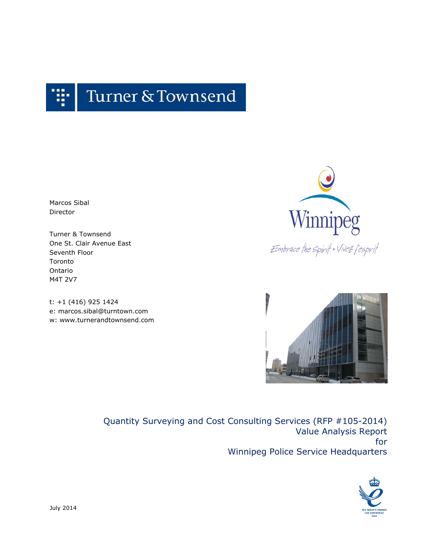

Marcos Sibal Director

Turner & Townsend One St. Clair Avenue East Seventh Floor Toronto Ontario M4T 2V7

t: +1 (416) 925 1424 e: marcos.sibal@turntown.com w: www.turnerandtownsend.com



Embrace the spirit . Vivez l'esprit



Quantity Surveying and Cost Consulting Services (RFP #105-2014) Value Analysis Report for Winnipeg Police Service Headquarters

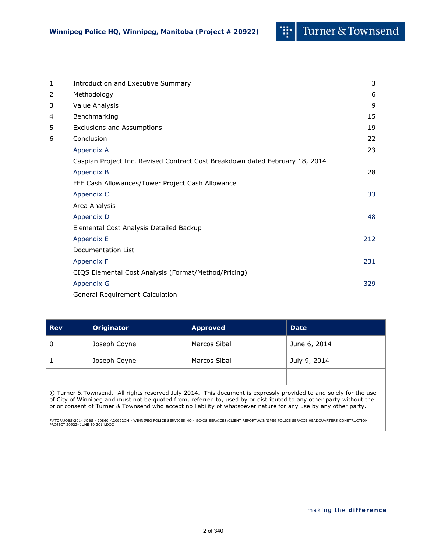œ.

| 1 | <b>Introduction and Executive Summary</b>                                    | 3   |
|---|------------------------------------------------------------------------------|-----|
| 2 | Methodology                                                                  | 6   |
| 3 | Value Analysis                                                               | 9   |
| 4 | Benchmarking                                                                 | 15  |
| 5 | <b>Exclusions and Assumptions</b>                                            | 19  |
| 6 | Conclusion                                                                   | 22  |
|   | Appendix A                                                                   | 23  |
|   | Caspian Project Inc. Revised Contract Cost Breakdown dated February 18, 2014 |     |
|   | Appendix B                                                                   | 28  |
|   | FFE Cash Allowances/Tower Project Cash Allowance                             |     |
|   | Appendix C                                                                   | 33  |
|   | Area Analysis                                                                |     |
|   | Appendix D                                                                   | 48  |
|   | Elemental Cost Analysis Detailed Backup                                      |     |
|   | Appendix E                                                                   | 212 |
|   | Documentation List                                                           |     |
|   | Appendix F                                                                   | 231 |
|   | CIQS Elemental Cost Analysis (Format/Method/Pricing)                         |     |
|   | Appendix G                                                                   | 329 |
|   | General Requirement Calculation                                              |     |

| June 6, 2014                                                                                                                                                                                                                                                                                                                                                |  |  |  |  |  |  |
|-------------------------------------------------------------------------------------------------------------------------------------------------------------------------------------------------------------------------------------------------------------------------------------------------------------------------------------------------------------|--|--|--|--|--|--|
| July 9, 2014                                                                                                                                                                                                                                                                                                                                                |  |  |  |  |  |  |
|                                                                                                                                                                                                                                                                                                                                                             |  |  |  |  |  |  |
| © Turner & Townsend. All rights reserved July 2014. This document is expressly provided to and solely for the use<br>of City of Winnipeg and must not be quoted from, referred to, used by or distributed to any other party without the<br>prior consent of Turner & Townsend who accept no liability of whatsoever nature for any use by any other party. |  |  |  |  |  |  |
|                                                                                                                                                                                                                                                                                                                                                             |  |  |  |  |  |  |

F:\TOR\JOBS\2014 JOBS - 20860 -\20922CM - WINNIPEG POLICE SERVICES HQ - GC\QS SERVICES\CLIENT REPORT\WINNIPEG POLICE SERVICE HEADQUARTERS CONSTRUCTION<br>PROJECT 20922- JUNE 30 2014.DOC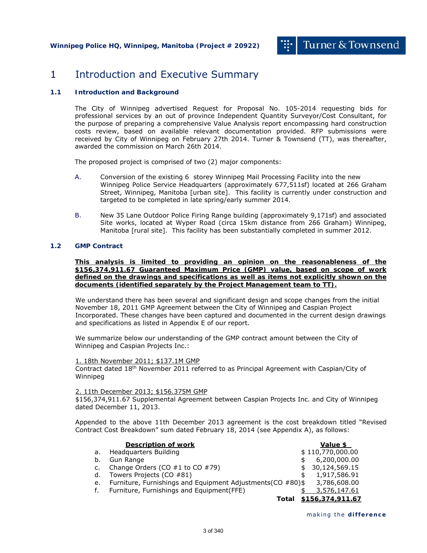## 1 Introduction and Executive Summary

### **1.1 Introduction and Background**

The City of Winnipeg advertised Request for Proposal No. 105-2014 requesting bids for professional services by an out of province Independent Quantity Surveyor/Cost Consultant, for the purpose of preparing a comprehensive Value Analysis report encompassing hard construction costs review, based on available relevant documentation provided. RFP submissions were received by City of Winnipeg on February 27th 2014. Turner & Townsend (TT), was thereafter, awarded the commission on March 26th 2014.

The proposed project is comprised of two (2) major components:

- A. Conversion of the existing 6 storey Winnipeg Mail Processing Facility into the new Winnipeg Police Service Headquarters (approximately 677,511sf) located at 266 Graham Street, Winnipeg, Manitoba [urban site]. This facility is currently under construction and targeted to be completed in late spring/early summer 2014.
- B. New 35 Lane Outdoor Police Firing Range building (approximately 9,171sf) and associated Site works, located at Wyper Road (circa 15km distance from 266 Graham) Winnipeg, Manitoba [rural site]. This facility has been substantially completed in summer 2012.

## **1.2 GMP Contract**

**This analysis is limited to providing an opinion on the reasonableness of the \$156,374,911.67 Guaranteed Maximum Price (GMP) value, based on scope of work defined on the drawings and specifications as well as items not explicitly shown on the documents (identified separately by the Project Management team to TT).** 

We understand there has been several and significant design and scope changes from the initial November 18, 2011 GMP Agreement between the City of Winnipeg and Caspian Project Incorporated. These changes have been captured and documented in the current design drawings and specifications as listed in Appendix E of our report.

We summarize below our understanding of the GMP contract amount between the City of Winnipeg and Caspian Projects Inc.:

#### 1. 18th November 2011; \$137.1M GMP

Contract dated 18th November 2011 referred to as Principal Agreement with Caspian/City of Winnipeg

#### 2. 11th December 2013; \$156.375M GMP

\$156,374,911.67 Supplemental Agreement between Caspian Projects Inc. and City of Winnipeg dated December 11, 2013.

Appended to the above 11th December 2013 agreement is the cost breakdown titled "Revised Contract Cost Breakdown" sum dated February 18, 2014 (see Appendix A), as follows:

|    | <b>Description of work</b>                                  |       | <b>Value \$</b>  |
|----|-------------------------------------------------------------|-------|------------------|
| a. | Headquarters Building                                       |       | \$110,770,000.00 |
| b. | Gun Range                                                   |       | 6,200,000.00     |
| c. | Change Orders (CO $#1$ to CO $#79$ )                        | \$.   | 30,124,569.15    |
| d. | Towers Projects (CO #81)                                    | \$    | 1,917,586.91     |
| е. | Furniture, Furnishings and Equipment Adjustments (CO #80)\$ |       | 3,786,608.00     |
| f. | Furniture, Furnishings and Equipment(FFE)                   |       | 3,576,147.61     |
|    |                                                             | Total | \$156,374,911.67 |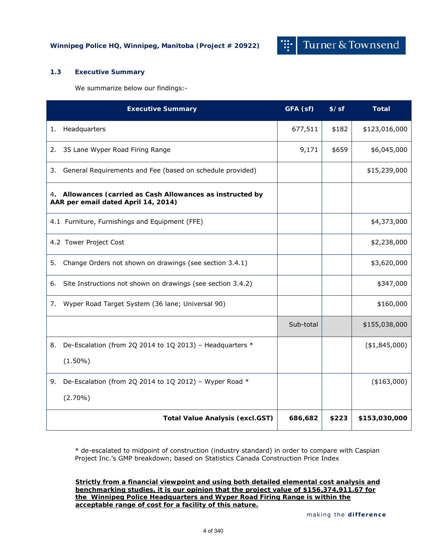## **1.3 Executive Summary**

We summarize below our findings:-

| <b>Executive Summary</b>                                                                          | GFA (sf)  | $$$ /sf | <b>Total</b>   |
|---------------------------------------------------------------------------------------------------|-----------|---------|----------------|
| Headquarters<br>1.                                                                                | 677,511   | \$182   | \$123,016,000  |
| 35 Lane Wyper Road Firing Range<br>2.                                                             | 9,171     | \$659   | \$6,045,000    |
| General Requirements and Fee (based on schedule provided)<br>3.                                   |           |         | \$15,239,000   |
| 4. Allowances (carried as Cash Allowances as instructed by<br>AAR per email dated April 14, 2014) |           |         |                |
| 4.1 Furniture, Furnishings and Equipment (FFE)                                                    |           |         | \$4,373,000    |
| 4.2 Tower Project Cost                                                                            |           |         | \$2,238,000    |
| Change Orders not shown on drawings (see section 3.4.1)<br>5.                                     |           |         | \$3,620,000    |
| Site Instructions not shown on drawings (see section 3.4.2)<br>6.                                 |           |         | \$347,000      |
| Wyper Road Target System (36 lane; Universal 90)<br>7.                                            |           |         | \$160,000      |
|                                                                                                   | Sub-total |         | \$155,038,000  |
| De-Escalation (from 2Q 2014 to 1Q 2013) - Headquarters *<br>8.                                    |           |         | ( \$1,845,000) |
| $(1.50\%)$                                                                                        |           |         |                |
| De-Escalation (from 2Q 2014 to 1Q 2012) - Wyper Road *<br>9.                                      |           |         | $(*163,000)$   |
| $(2.70\%)$                                                                                        |           |         |                |
| <b>Total Value Analysis (excl.GST)</b>                                                            | 686,682   | \$223   | \$153,030,000  |

\* de-escalated to midpoint of construction (industry standard) in order to compare with Caspian Project Inc.'s GMP breakdown; based on Statistics Canada Construction Price Index

**Strictly from a financial viewpoint and using both detailed elemental cost analysis and benchmarking studies, it is our opinion that the project value of \$156,374,911.67 for the Winnipeg Police Headquarters and Wyper Road Firing Range is within the acceptable range of cost for a facility of this nature.**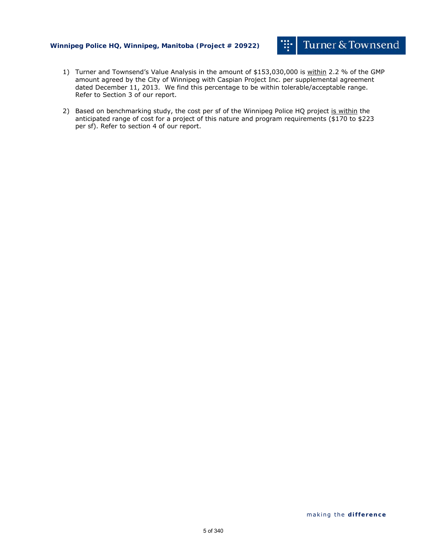## **Winnipeg Police HQ, Winnipeg, Manitoba (Project # 20922)**

- 1) Turner and Townsend's Value Analysis in the amount of \$153,030,000 is within 2.2 % of the GMP amount agreed by the City of Winnipeg with Caspian Project Inc. per supplemental agreement dated December 11, 2013. We find this percentage to be within tolerable/acceptable range. Refer to Section 3 of our report.
- 2) Based on benchmarking study, the cost per sf of the Winnipeg Police HQ project is within the anticipated range of cost for a project of this nature and program requirements (\$170 to \$223 per sf). Refer to section 4 of our report.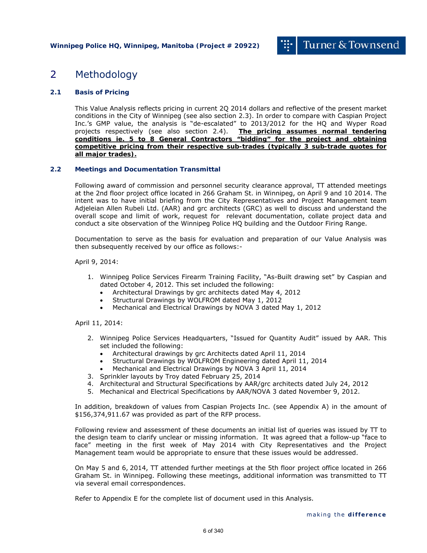## 2 Methodology

## **2.1 Basis of Pricing**

This Value Analysis reflects pricing in current 2Q 2014 dollars and reflective of the present market conditions in the City of Winnipeg (see also section 2.3). In order to compare with Caspian Project Inc.'s GMP value, the analysis is "de-escalated" to 2013/2012 for the HQ and Wyper Road projects respectively (see also section 2.4). **The pricing assumes normal tendering conditions ie. 5 to 8 General Contractors "bidding" for the project and obtaining competitive pricing from their respective sub-trades (typically 3 sub-trade quotes for all major trades).** 

#### **2.2 Meetings and Documentation Transmittal**

Following award of commission and personnel security clearance approval, TT attended meetings at the 2nd floor project office located in 266 Graham St. in Winnipeg, on April 9 and 10 2014. The intent was to have initial briefing from the City Representatives and Project Management team Adjeleian Allen Rubeli Ltd. (AAR) and grc architects (GRC) as well to discuss and understand the overall scope and limit of work, request for relevant documentation, collate project data and conduct a site observation of the Winnipeg Police HQ building and the Outdoor Firing Range.

Documentation to serve as the basis for evaluation and preparation of our Value Analysis was then subsequently received by our office as follows:-

April 9, 2014:

- 1. Winnipeg Police Services Firearm Training Facility, "As-Built drawing set" by Caspian and dated October 4, 2012. This set included the following:
	- Architectural Drawings by grc architects dated May 4, 2012
	- Structural Drawings by WOLFROM dated May 1, 2012
	- Mechanical and Electrical Drawings by NOVA 3 dated May 1, 2012

#### April 11, 2014:

- 2. Winnipeg Police Services Headquarters, "Issued for Quantity Audit" issued by AAR. This set included the following:
	- Architectural drawings by grc Architects dated April 11, 2014
	- Structural Drawings by WOLFROM Engineering dated April 11, 2014
	- Mechanical and Electrical Drawings by NOVA 3 April 11, 2014
- 3. Sprinkler layouts by Troy dated February 25, 2014
- 4. Architectural and Structural Specifications by AAR/grc architects dated July 24, 2012
- 5. Mechanical and Electrical Specifications by AAR/NOVA 3 dated November 9, 2012.

In addition, breakdown of values from Caspian Projects Inc. (see Appendix A) in the amount of \$156,374,911.67 was provided as part of the RFP process.

Following review and assessment of these documents an initial list of queries was issued by TT to the design team to clarify unclear or missing information. It was agreed that a follow-up "face to face" meeting in the first week of May 2014 with City Representatives and the Project Management team would be appropriate to ensure that these issues would be addressed.

On May 5 and 6, 2014, TT attended further meetings at the 5th floor project office located in 266 Graham St. in Winnipeg. Following these meetings, additional information was transmitted to TT via several email correspondences.

Refer to Appendix E for the complete list of document used in this Analysis.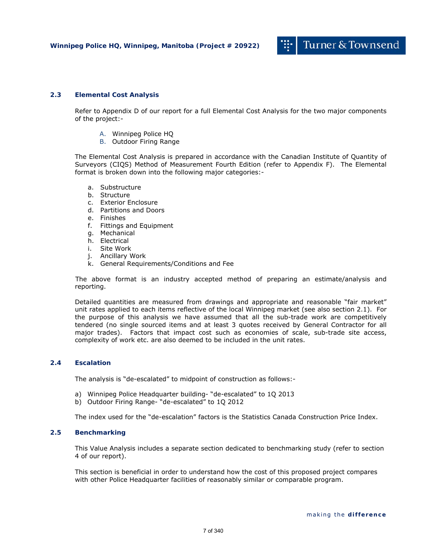### **2.3 Elemental Cost Analysis**

Refer to Appendix D of our report for a full Elemental Cost Analysis for the two major components of the project:-

- A. Winnipeg Police HQ
- B. Outdoor Firing Range

The Elemental Cost Analysis is prepared in accordance with the Canadian Institute of Quantity of Surveyors (CIQS) Method of Measurement Fourth Edition (refer to Appendix F). The Elemental format is broken down into the following major categories:-

- a. Substructure
- b. Structure
- c. Exterior Enclosure
- d. Partitions and Doors
- e. Finishes
- f. Fittings and Equipment
- g. Mechanical
- h. Electrical
- i. Site Work
- j. Ancillary Work
- k. General Requirements/Conditions and Fee

The above format is an industry accepted method of preparing an estimate/analysis and reporting.

Detailed quantities are measured from drawings and appropriate and reasonable "fair market" unit rates applied to each items reflective of the local Winnipeg market (see also section 2.1). For the purpose of this analysis we have assumed that all the sub-trade work are competitively tendered (no single sourced items and at least 3 quotes received by General Contractor for all major trades). Factors that impact cost such as economies of scale, sub-trade site access, complexity of work etc. are also deemed to be included in the unit rates.

#### **2.4 Escalation**

The analysis is "de-escalated" to midpoint of construction as follows:-

- a) Winnipeg Police Headquarter building- "de-escalated" to 1Q 2013
- b) Outdoor Firing Range- "de-escalated" to 1Q 2012

The index used for the "de-escalation" factors is the Statistics Canada Construction Price Index.

### **2.5 Benchmarking**

This Value Analysis includes a separate section dedicated to benchmarking study (refer to section 4 of our report).

This section is beneficial in order to understand how the cost of this proposed project compares with other Police Headquarter facilities of reasonably similar or comparable program.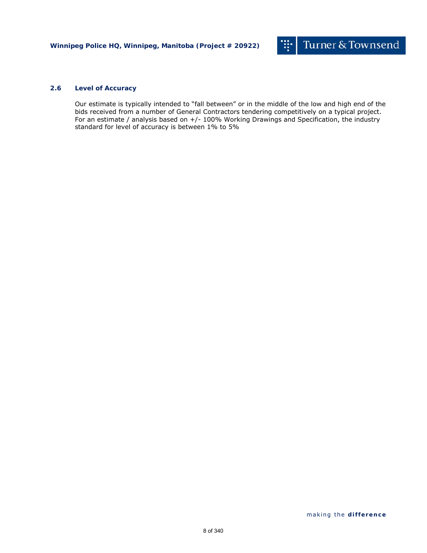### **2.6 Level of Accuracy**

Our estimate is typically intended to "fall between" or in the middle of the low and high end of the bids received from a number of General Contractors tendering competitively on a typical project. For an estimate / analysis based on +/- 100% Working Drawings and Specification, the industry standard for level of accuracy is between 1% to 5%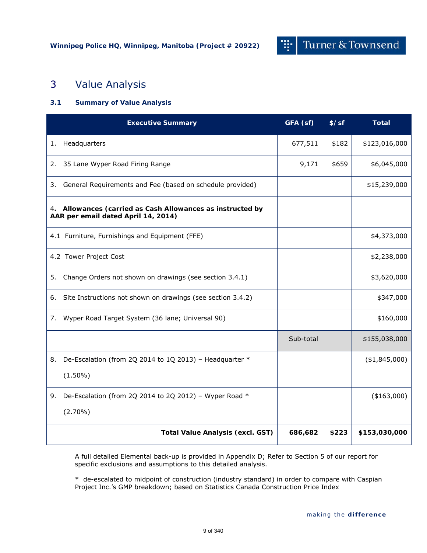## 3 Value Analysis

## **3.1 Summary of Value Analysis**

| <b>Executive Summary</b>                       | GFA (sf)                                                    | $$$ /sf   | <b>Total</b> |                |
|------------------------------------------------|-------------------------------------------------------------|-----------|--------------|----------------|
| Headquarters<br>1.                             |                                                             | 677,511   | \$182        | \$123,016,000  |
| 35 Lane Wyper Road Firing Range<br>2.          |                                                             | 9,171     | \$659        | \$6,045,000    |
| 3.                                             | General Requirements and Fee (based on schedule provided)   |           |              | \$15,239,000   |
| AAR per email dated April 14, 2014)            | 4. Allowances (carried as Cash Allowances as instructed by  |           |              |                |
| 4.1 Furniture, Furnishings and Equipment (FFE) |                                                             |           |              | \$4,373,000    |
| 4.2 Tower Project Cost                         |                                                             |           |              | \$2,238,000    |
| 5.                                             | Change Orders not shown on drawings (see section 3.4.1)     |           |              | \$3,620,000    |
| 6.                                             | Site Instructions not shown on drawings (see section 3.4.2) |           |              | \$347,000      |
| 7.                                             | Wyper Road Target System (36 lane; Universal 90)            |           |              | \$160,000      |
|                                                |                                                             | Sub-total |              | \$155,038,000  |
| 8.                                             | De-Escalation (from 2Q 2014 to 1Q 2013) - Headquarter *     |           |              | ( \$1,845,000) |
| $(1.50\%)$                                     |                                                             |           |              |                |
|                                                | 9. De-Escalation (from 2Q 2014 to 2Q 2012) - Wyper Road $*$ |           |              | $(*163,000)$   |
| $(2.70\%)$                                     |                                                             |           |              |                |
|                                                | <b>Total Value Analysis (excl. GST)</b>                     | 686,682   | \$223        | \$153,030,000  |

A full detailed Elemental back-up is provided in Appendix D; Refer to Section 5 of our report for specific exclusions and assumptions to this detailed analysis.

\* de-escalated to midpoint of construction (industry standard) in order to compare with Caspian Project Inc.'s GMP breakdown; based on Statistics Canada Construction Price Index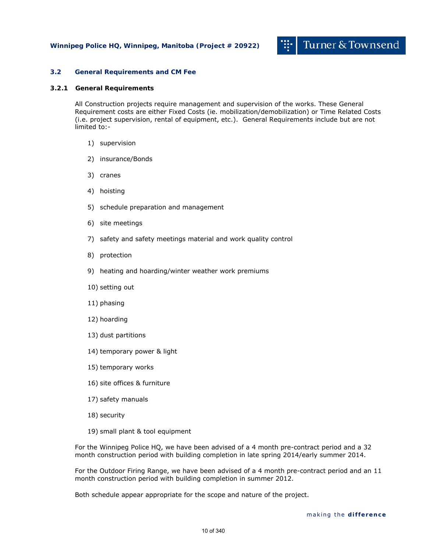#### **3.2 General Requirements and CM Fee**

#### **3.2.1 General Requirements**

All Construction projects require management and supervision of the works. These General Requirement costs are either Fixed Costs (ie. mobilization/demobilization) or Time Related Costs (i.e. project supervision, rental of equipment, etc.). General Requirements include but are not limited to:-

- 1) supervision
- 2) insurance/Bonds
- 3) cranes
- 4) hoisting
- 5) schedule preparation and management
- 6) site meetings
- 7) safety and safety meetings material and work quality control
- 8) protection
- 9) heating and hoarding/winter weather work premiums
- 10) setting out
- 11) phasing
- 12) hoarding
- 13) dust partitions
- 14) temporary power & light
- 15) temporary works
- 16) site offices & furniture
- 17) safety manuals
- 18) security
- 19) small plant & tool equipment

For the Winnipeg Police HQ, we have been advised of a 4 month pre-contract period and a 32 month construction period with building completion in late spring 2014/early summer 2014.

For the Outdoor Firing Range, we have been advised of a 4 month pre-contract period and an 11 month construction period with building completion in summer 2012.

Both schedule appear appropriate for the scope and nature of the project.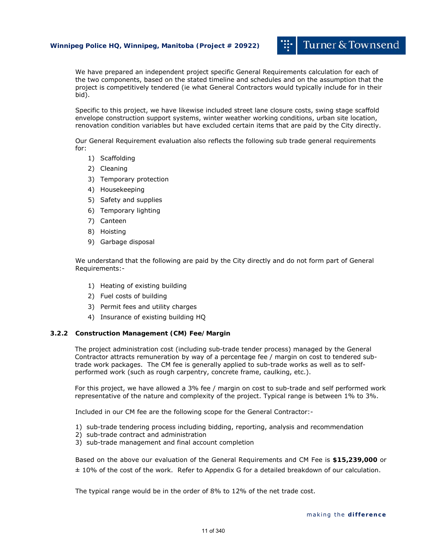#### **Winnipeg Police HQ, Winnipeg, Manitoba (Project # 20922)**

We have prepared an independent project specific General Requirements calculation for each of the two components, based on the stated timeline and schedules and on the assumption that the project is competitively tendered (ie what General Contractors would typically include for in their bid).

Specific to this project, we have likewise included street lane closure costs, swing stage scaffold envelope construction support systems, winter weather working conditions, urban site location, renovation condition variables but have excluded certain items that are paid by the City directly.

Our General Requirement evaluation also reflects the following sub trade general requirements for:

- 1) Scaffolding
- 2) Cleaning
- 3) Temporary protection
- 4) Housekeeping
- 5) Safety and supplies
- 6) Temporary lighting
- 7) Canteen
- 8) Hoisting
- 9) Garbage disposal

We understand that the following are paid by the City directly and do not form part of General Requirements:-

- 1) Heating of existing building
- 2) Fuel costs of building
- 3) Permit fees and utility charges
- 4) Insurance of existing building HQ

#### **3.2.2 Construction Management (CM) Fee/Margin**

The project administration cost (including sub-trade tender process) managed by the General Contractor attracts remuneration by way of a percentage fee / margin on cost to tendered subtrade work packages. The CM fee is generally applied to sub-trade works as well as to selfperformed work (such as rough carpentry, concrete frame, caulking, etc.).

For this project, we have allowed a 3% fee / margin on cost to sub-trade and self performed work representative of the nature and complexity of the project. Typical range is between 1% to 3%.

Included in our CM fee are the following scope for the General Contractor:-

- 1) sub-trade tendering process including bidding, reporting, analysis and recommendation
- 2) sub-trade contract and administration
- 3) sub-trade management and final account completion

Based on the above our evaluation of the General Requirements and CM Fee is **\$15,239,000** or ± 10% of the cost of the work. Refer to Appendix G for a detailed breakdown of our calculation.

The typical range would be in the order of 8% to 12% of the net trade cost.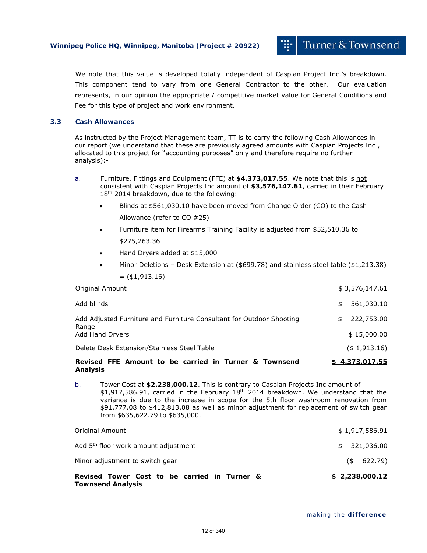We note that this value is developed totally independent of Caspian Project Inc.'s breakdown. This component tend to vary from one General Contractor to the other. Our evaluation represents, in our opinion the appropriate / competitive market value for General Conditions and Fee for this type of project and work environment.

#### **3.3 Cash Allowances**

As instructed by the Project Management team, TT is to carry the following Cash Allowances in our report (we understand that these are previously agreed amounts with Caspian Projects Inc, allocated to this project for "accounting purposes" only and therefore require no further analysis):-

- a. Furniture, Fittings and Equipment (FFE) at **\$4,373,017.55**. We note that this is not consistent with Caspian Projects Inc amount of **\$3,576,147.61**, carried in their February 18<sup>th</sup> 2014 breakdown, due to the following:
	- Blinds at \$561,030.10 have been moved from Change Order (CO) to the Cash Allowance (refer to CO #25)
	- Furniture item for Firearms Training Facility is adjusted from \$52,510.36 to \$275,263.36
	- Hand Dryers added at \$15,000
	- Minor Deletions Desk Extension at (\$699.78) and stainless steel table (\$1,213.38)  $=$  (\$1,913.16)

| Original Amount                                                               |     | \$3,576,147.61   |
|-------------------------------------------------------------------------------|-----|------------------|
| Add blinds                                                                    | \$  | 561,030.10       |
| Add Adjusted Furniture and Furniture Consultant for Outdoor Shooting<br>Range | \$. | 222,753.00       |
| Add Hand Dryers                                                               |     | \$15,000.00      |
| Delete Desk Extension/Stainless Steel Table                                   |     | $($ \$ 1,913.16) |
| Revised FFF Amount to be carried in Turner & Townsend                         |     | \$437301755      |

**Revised FFE Amount to be carried in Turner & Townsend Analysis \$ 4,373,017.55**

b. Tower Cost at **\$2,238,000.12**. This is contrary to Caspian Projects Inc amount of  $$1,917,586.91$ , carried in the February  $18<sup>th</sup>$  2014 breakdown. We understand that the variance is due to the increase in scope for the 5th floor washroom renovation from \$91,777.08 to \$412,813.08 as well as minor adjustment for replacement of switch gear from \$635,622.79 to \$635,000.

| Revised Tower Cost to be carried in Turner &<br><b>Townsend Analysis</b> | \$2,238,000.12 |
|--------------------------------------------------------------------------|----------------|
| Minor adjustment to switch gear                                          | $($ \$ 622.79) |
| Add 5 <sup>th</sup> floor work amount adjustment                         | \$321,036.00   |
| Original Amount                                                          | \$1,917,586.91 |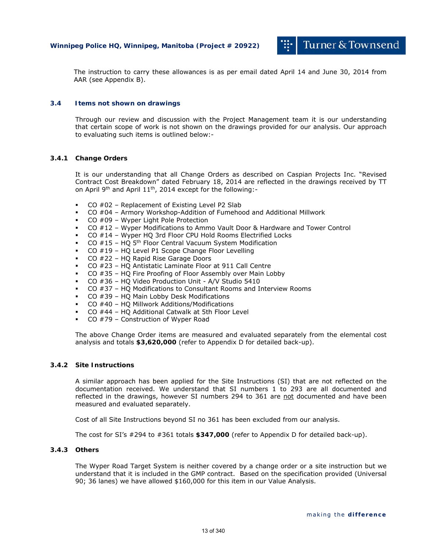The instruction to carry these allowances is as per email dated April 14 and June 30, 2014 from AAR (see Appendix B).

### **3.4 Items not shown on drawings**

Through our review and discussion with the Project Management team it is our understanding that certain scope of work is not shown on the drawings provided for our analysis. Our approach to evaluating such items is outlined below:-

#### **3.4.1 Change Orders**

It is our understanding that all Change Orders as described on Caspian Projects Inc. "Revised Contract Cost Breakdown" dated February 18, 2014 are reflected in the drawings received by TT on April 9th and April 11th, 2014 except for the following:-

- $CO$  #02 Replacement of Existing Level P2 Slab
- CO #04 Armory Workshop-Addition of Fumehood and Additional Millwork
- CO #09 Wyper Light Pole Protection
- CO #12 Wyper Modifications to Ammo Vault Door & Hardware and Tower Control
- CO #14 Wyper HQ 3rd Floor CPU Hold Rooms Electrified Locks
- CO #15 HQ 5th Floor Central Vacuum System Modification
- CO #19 HQ Level P1 Scope Change Floor Levelling
- CO #22 HQ Rapid Rise Garage Doors
- CO #23 HQ Antistatic Laminate Floor at 911 Call Centre
- CO #35 HQ Fire Proofing of Floor Assembly over Main Lobby
- CO #36 HQ Video Production Unit A/V Studio 5410
- CO #37 HQ Modifications to Consultant Rooms and Interview Rooms
- CO #39 HQ Main Lobby Desk Modifications
- CO #40 HQ Millwork Additions/Modifications
- CO #44 HQ Additional Catwalk at 5th Floor Level
- CO #79 Construction of Wyper Road

The above Change Order items are measured and evaluated separately from the elemental cost analysis and totals **\$3,620,000** (refer to Appendix D for detailed back-up).

#### **3.4.2 Site Instructions**

A similar approach has been applied for the Site Instructions (SI) that are not reflected on the documentation received. We understand that SI numbers 1 to 293 are all documented and reflected in the drawings, however SI numbers 294 to 361 are not documented and have been measured and evaluated separately.

Cost of all Site Instructions beyond SI no 361 has been excluded from our analysis.

The cost for SI's #294 to #361 totals **\$347,000** (refer to Appendix D for detailed back-up).

### **3.4.3 Others**

The Wyper Road Target System is neither covered by a change order or a site instruction but we understand that it is included in the GMP contract. Based on the specification provided (Universal 90; 36 lanes) we have allowed \$160,000 for this item in our Value Analysis.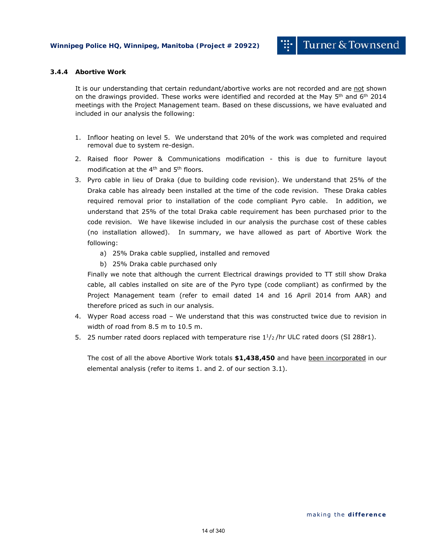#### **3.4.4 Abortive Work**

It is our understanding that certain redundant/abortive works are not recorded and are not shown on the drawings provided. These works were identified and recorded at the May  $5<sup>th</sup>$  and  $6<sup>th</sup>$  2014 meetings with the Project Management team. Based on these discussions, we have evaluated and included in our analysis the following:

- 1. Infloor heating on level 5. We understand that 20% of the work was completed and required removal due to system re-design.
- 2. Raised floor Power & Communications modification this is due to furniture layout modification at the 4th and 5th floors.
- 3. Pyro cable in lieu of Draka (due to building code revision). We understand that 25% of the Draka cable has already been installed at the time of the code revision. These Draka cables required removal prior to installation of the code compliant Pyro cable. In addition, we understand that 25% of the total Draka cable requirement has been purchased prior to the code revision. We have likewise included in our analysis the purchase cost of these cables (no installation allowed). In summary, we have allowed as part of Abortive Work the following:
	- a) 25% Draka cable supplied, installed and removed
	- b) 25% Draka cable purchased only

Finally we note that although the current Electrical drawings provided to TT still show Draka cable, all cables installed on site are of the Pyro type (code compliant) as confirmed by the Project Management team (refer to email dated 14 and 16 April 2014 from AAR) and therefore priced as such in our analysis.

- 4. Wyper Road access road We understand that this was constructed twice due to revision in width of road from 8.5 m to 10.5 m.
- 5. 25 number rated doors replaced with temperature rise  $1^{1}/2$  /hr ULC rated doors (SI 288r1).

The cost of all the above Abortive Work totals **\$1,438,450** and have been incorporated in our elemental analysis (refer to items 1. and 2. of our section 3.1).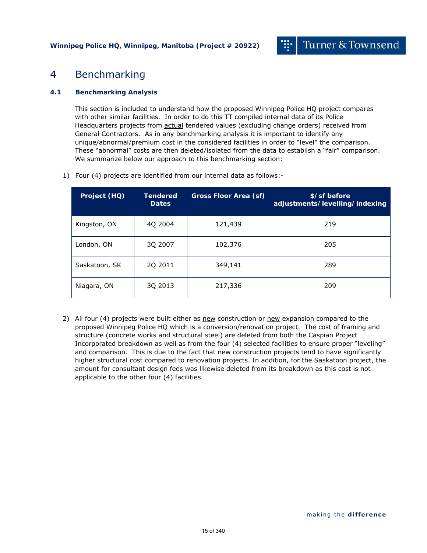## 4 Benchmarking

## **4.1 Benchmarking Analysis**

This section is included to understand how the proposed Winnipeg Police HQ project compares with other similar facilities. In order to do this TT compiled internal data of its Police Headquarters projects from actual tendered values (excluding change orders) received from General Contractors. As in any benchmarking analysis it is important to identify any unique/abnormal/premium cost in the considered facilities in order to "level" the comparison. These "abnormal" costs are then deleted/isolated from the data to establish a "fair" comparison. We summarize below our approach to this benchmarking section:

| Project (HQ)  | Tendered<br><b>Dates</b> | Gross Floor Area (sf) | \$/sf before<br>adjustments/levelling/indexing |
|---------------|--------------------------|-----------------------|------------------------------------------------|
| Kingston, ON  | 4Q 2004                  | 121,439               | 219                                            |
| London, ON    | 3Q 2007                  | 102,376               | 205                                            |
| Saskatoon, SK | 2Q 2011                  | 349,141               | 289                                            |
| Niagara, ON   | 3Q 2013                  | 217,336               | 209                                            |

1) Four (4) projects are identified from our internal data as follows:-

2) All four (4) projects were built either as new construction or new expansion compared to the proposed Winnipeg Police HQ which is a conversion/renovation project. The cost of framing and structure (concrete works and structural steel) are deleted from both the Caspian Project Incorporated breakdown as well as from the four (4) selected facilities to ensure proper "leveling" and comparison. This is due to the fact that new construction projects tend to have significantly higher structural cost compared to renovation projects. In addition, for the Saskatoon project, the amount for consultant design fees was likewise deleted from its breakdown as this cost is not applicable to the other four (4) facilities.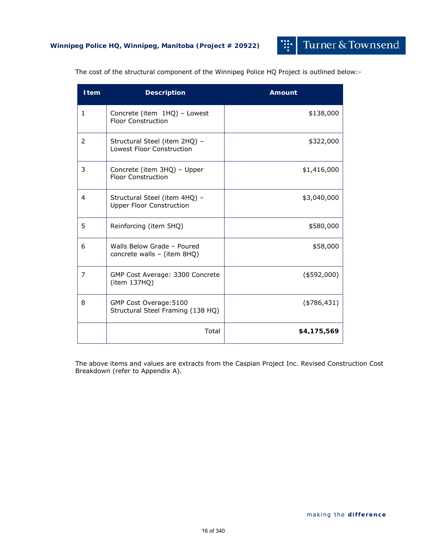Turner & Townsend

m.

| <b>Item</b>    | <b>Description</b>                                                | <b>Amount</b>  |
|----------------|-------------------------------------------------------------------|----------------|
| $\mathbf{1}$   | Concrete (item 1HQ) - Lowest<br><b>Floor Construction</b>         | \$138,000      |
| 2              | Structural Steel (item 2HQ) -<br><b>Lowest Floor Construction</b> | \$322,000      |
| 3              | Concrete (item 3HQ) - Upper<br><b>Floor Construction</b>          | \$1,416,000    |
| 4              | Structural Steel (item 4HQ) -<br><b>Upper Floor Construction</b>  | \$3,040,000    |
| 5              | Reinforcing (item 5HQ)                                            | \$580,000      |
| 6              | Walls Below Grade - Poured<br>concrete walls - (item 8HQ)         | \$58,000       |
| $\overline{7}$ | GMP Cost Average: 3300 Concrete<br>(item 137HQ)                   | $($ \$592,000) |
| 8              | GMP Cost Overage: 5100<br>Structural Steel Framing (138 HQ)       | $(*786,431)$   |
|                | Total                                                             | \$4,175,569    |

The cost of the structural component of the Winnipeg Police HQ Project is outlined below:-

The above items and values are extracts from the Caspian Project Inc. Revised Construction Cost Breakdown (refer to Appendix A).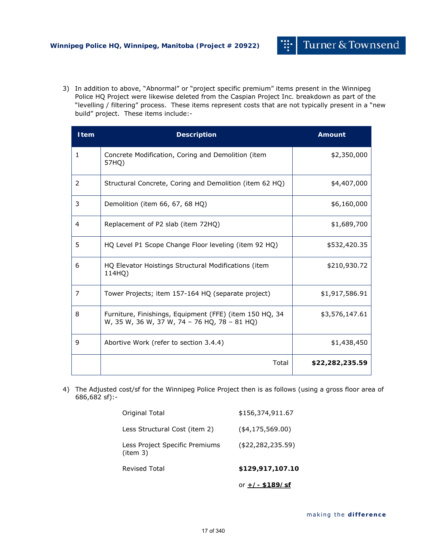3) In addition to above, "Abnormal" or "project specific premium" items present in the Winnipeg Police HQ Project were likewise deleted from the Caspian Project Inc. breakdown as part of the "levelling / filtering" process. These items represent costs that are not typically present in a "new build" project. These items include:-

| <b>Item</b>  | <b>Description</b>                                                                                      | <b>Amount</b>   |
|--------------|---------------------------------------------------------------------------------------------------------|-----------------|
| $\mathbf{1}$ | Concrete Modification, Coring and Demolition (item<br>57HO)                                             | \$2,350,000     |
| 2            | Structural Concrete, Coring and Demolition (item 62 HQ)                                                 | \$4,407,000     |
| 3            | Demolition (item 66, 67, 68 HQ)                                                                         | \$6,160,000     |
| 4            | Replacement of P2 slab (item 72HQ)                                                                      | \$1,689,700     |
| 5            | HQ Level P1 Scope Change Floor leveling (item 92 HQ)                                                    | \$532,420.35    |
| 6            | HQ Elevator Hoistings Structural Modifications (item<br>114HO)                                          | \$210,930.72    |
| 7            | Tower Projects; item 157-164 HQ (separate project)                                                      | \$1,917,586.91  |
| 8            | Furniture, Finishings, Equipment (FFE) (item 150 HQ, 34<br>W, 35 W, 36 W, 37 W, 74 - 76 HQ, 78 - 81 HQ) | \$3,576,147.61  |
| 9            | Abortive Work (refer to section 3.4.4)                                                                  | \$1,438,450     |
|              | Total                                                                                                   | \$22,282,235.59 |

4) The Adjusted cost/sf for the Winnipeg Police Project then is as follows (using a gross floor area of 686,682 sf):-

|                                           | or $+/-$ \$189/sf    |
|-------------------------------------------|----------------------|
| <b>Revised Total</b>                      | \$129,917,107.10     |
| Less Project Specific Premiums<br>item 3) | ( \$22, 282, 235.59) |
| Less Structural Cost (item 2)             | $($ \$4,175,569.00)  |
| Original Total                            | \$156,374,911.67     |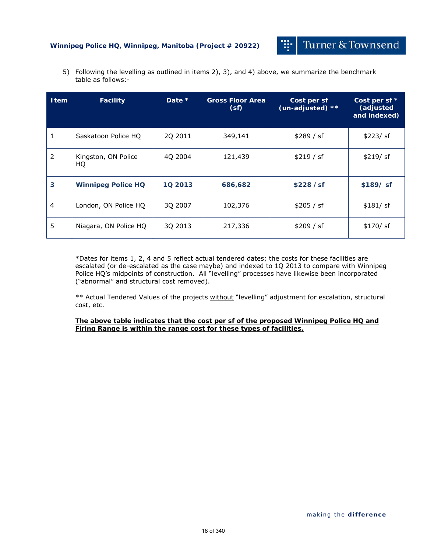## **Winnipeg Police HQ, Winnipeg, Manitoba (Project # 20922)**

Turner & Townsend

Ŧ

5) Following the levelling as outlined in items 2), 3), and 4) above, we summarize the benchmark table as follows:-

| <b>Item</b> | <b>Facility</b>           | Date $*$ | <b>Gross Floor Area</b><br>(sf) | Cost per sf<br>(un-adjusted) ** | Cost per sf *<br>(adjusted<br>and indexed) |
|-------------|---------------------------|----------|---------------------------------|---------------------------------|--------------------------------------------|
|             | Saskatoon Police HQ       | 2Q 2011  | 349,141                         | \$289 / sf                      | \$223/ sf                                  |
| 2           | Kingston, ON Police<br>HQ | 40 2004  | 121,439                         | \$219 / sf                      | \$219/ sf                                  |
| 3           | <b>Winnipeg Police HQ</b> | 10 2013  | 686,682                         | \$228 / sf                      | $$189/$ sf                                 |
| 4           | London, ON Police HQ      | 3Q 2007  | 102,376                         | \$205 / sf                      | \$181/ sf                                  |
| 5           | Niagara, ON Police HQ     | 3Q 2013  | 217,336                         | \$209 / sf                      | $$170/$ sf                                 |

\*Dates for items 1, 2, 4 and 5 reflect actual tendered dates; the costs for these facilities are escalated (or de-escalated as the case maybe) and indexed to 1Q 2013 to compare with Winnipeg Police HQ's midpoints of construction. All "levelling" processes have likewise been incorporated ("abnormal" and structural cost removed).

\*\* Actual Tendered Values of the projects without "levelling" adjustment for escalation, structural cost, etc.

**The above table indicates that the cost per sf of the proposed Winnipeg Police HQ and Firing Range is within the range cost for these types of facilities.**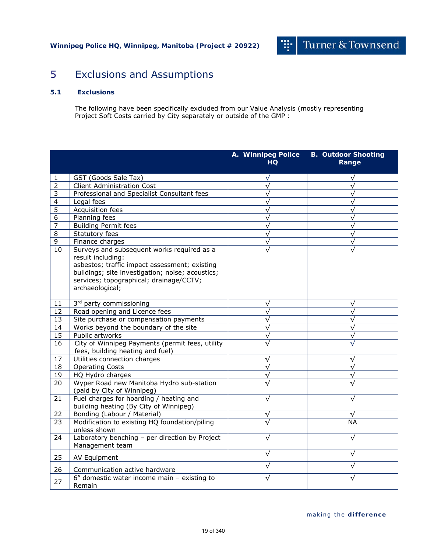# 5 Exclusions and Assumptions

## **5.1 Exclusions**

The following have been specifically excluded from our Value Analysis (mostly representing Project Soft Costs carried by City separately or outside of the GMP :

|                 |                                                                                                                                                                                                                                    | A. Winnipeg Police<br><b>HQ</b> | <b>B. Outdoor Shooting</b><br>Range |
|-----------------|------------------------------------------------------------------------------------------------------------------------------------------------------------------------------------------------------------------------------------|---------------------------------|-------------------------------------|
| 1               | GST (Goods Sale Tax)                                                                                                                                                                                                               | $\sqrt{}$                       | √                                   |
| $\overline{2}$  | <b>Client Administration Cost</b>                                                                                                                                                                                                  | $\sqrt{ }$                      |                                     |
| 3               | Professional and Specialist Consultant fees                                                                                                                                                                                        | $\sqrt{}$                       | $\sqrt{}$                           |
| 4               | Legal fees                                                                                                                                                                                                                         | $\sqrt{}$                       | $\sqrt{}$                           |
| 5               | Acquisition fees                                                                                                                                                                                                                   | $\sqrt{}$                       | $\sqrt{}$                           |
| 6               | Planning fees                                                                                                                                                                                                                      | $\sqrt{}$                       | $\sqrt{}$                           |
| 7               | <b>Building Permit fees</b>                                                                                                                                                                                                        | $\sqrt{}$                       | $\sqrt{}$                           |
| 8               | Statutory fees                                                                                                                                                                                                                     | $\sqrt{}$                       | $\sqrt{}$                           |
| 9               | Finance charges                                                                                                                                                                                                                    | $\sqrt{}$                       | $\sqrt{}$                           |
| 10              | Surveys and subsequent works required as a<br>result including:<br>asbestos; traffic impact assessment; existing<br>buildings; site investigation; noise; acoustics;<br>services; topographical; drainage/CCTV;<br>archaeological; | $\sqrt{}$                       |                                     |
| 11              | 3rd party commissioning                                                                                                                                                                                                            | $\sqrt{}$                       | $\sqrt{}$                           |
| 12              | Road opening and Licence fees                                                                                                                                                                                                      | $\overline{\sqrt{ }}$           | $\overline{\sqrt{} }$               |
| 13              | Site purchase or compensation payments                                                                                                                                                                                             | $\sqrt{}$                       | $\sqrt{}$                           |
| $\overline{14}$ | Works beyond the boundary of the site                                                                                                                                                                                              | $\sqrt{}$                       | $\sqrt{}$                           |
| 15              | Public artworks                                                                                                                                                                                                                    | $\sqrt{}$                       | $\sqrt{}$                           |
| 16              | City of Winnipeg Payments (permit fees, utility<br>fees, building heating and fuel)                                                                                                                                                | $\sqrt{}$                       |                                     |
| 17              | Utilities connection charges                                                                                                                                                                                                       | $\sqrt{}$                       | √                                   |
| 18              | <b>Operating Costs</b>                                                                                                                                                                                                             | $\sqrt{}$                       |                                     |
| 19              | HQ Hydro charges                                                                                                                                                                                                                   | $\sqrt{}$                       |                                     |
| 20              | Wyper Road new Manitoba Hydro sub-station<br>(paid by City of Winnipeg)                                                                                                                                                            | $\sqrt{}$                       |                                     |
| 21              | Fuel charges for hoarding / heating and<br>building heating (By City of Winnipeg)                                                                                                                                                  | $\sqrt{}$                       |                                     |
| 22              | Bonding (Labour / Material)                                                                                                                                                                                                        | $\sqrt{}$                       |                                     |
| 23              | Modification to existing HQ foundation/piling<br>unless shown                                                                                                                                                                      |                                 | NА                                  |
| 24              | Laboratory benching - per direction by Project<br>Management team                                                                                                                                                                  | $\sqrt{}$                       | $\sqrt{}$                           |
| 25              | AV Equipment                                                                                                                                                                                                                       | $\sqrt{}$                       | √                                   |
| 26              | Communication active hardware                                                                                                                                                                                                      | $\sqrt{}$                       | $\sqrt{}$                           |
| 27              | $6''$ domestic water income main - existing to<br>Remain                                                                                                                                                                           |                                 |                                     |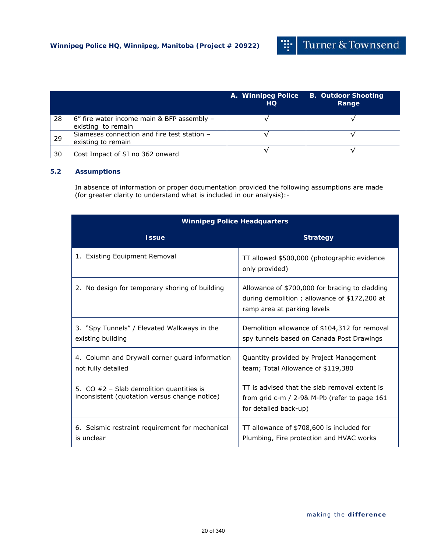掛

|    |                                                                   | A. Winnipeg Police<br>HQ. | <b>B. Outdoor Shooting</b><br>Range |
|----|-------------------------------------------------------------------|---------------------------|-------------------------------------|
| 28 | 6" fire water income main & BFP assembly -<br>existing to remain  |                           |                                     |
| 29 | Siameses connection and fire test station -<br>existing to remain |                           |                                     |
| 30 | Cost Impact of SI no 362 onward                                   |                           |                                     |

## **5.2 Assumptions**

In absence of information or proper documentation provided the following assumptions are made (for greater clarity to understand what is included in our analysis):-

| <b>Winnipeg Police Headquarters</b>                                                         |                                                                                                                               |  |  |
|---------------------------------------------------------------------------------------------|-------------------------------------------------------------------------------------------------------------------------------|--|--|
| <b>Issue</b>                                                                                | <b>Strategy</b>                                                                                                               |  |  |
| 1. Existing Equipment Removal                                                               | TT allowed \$500,000 (photographic evidence<br>only provided)                                                                 |  |  |
| No design for temporary shoring of building<br>2.                                           | Allowance of \$700,000 for bracing to cladding<br>during demolition; allowance of \$172,200 at<br>ramp area at parking levels |  |  |
| 3. "Spy Tunnels" / Elevated Walkways in the<br>existing building                            | Demolition allowance of \$104,312 for removal<br>spy tunnels based on Canada Post Drawings                                    |  |  |
| 4. Column and Drywall corner guard information<br>not fully detailed                        | Quantity provided by Project Management<br>team; Total Allowance of \$119,380                                                 |  |  |
| 5. CO $#2$ – Slab demolition quantities is<br>inconsistent (quotation versus change notice) | TT is advised that the slab removal extent is<br>from grid $c$ -m / 2-9& M-Pb (refer to page 161<br>for detailed back-up)     |  |  |
| 6. Seismic restraint requirement for mechanical<br>is unclear                               | TT allowance of \$708,600 is included for<br>Plumbing, Fire protection and HVAC works                                         |  |  |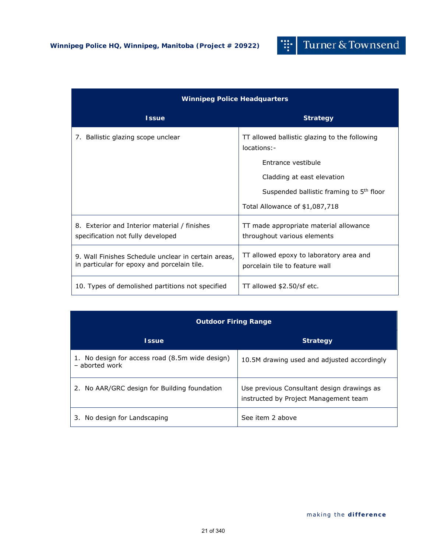#### Turner & Townsend 뽜

| <b>Winnipeg Police Headquarters</b>                                                                |                                                                           |  |  |  |
|----------------------------------------------------------------------------------------------------|---------------------------------------------------------------------------|--|--|--|
| <b>Issue</b>                                                                                       | <b>Strategy</b>                                                           |  |  |  |
| 7. Ballistic glazing scope unclear                                                                 | TT allowed ballistic glazing to the following<br>locations:-              |  |  |  |
|                                                                                                    | Entrance vestibule                                                        |  |  |  |
|                                                                                                    | Cladding at east elevation                                                |  |  |  |
|                                                                                                    | Suspended ballistic framing to 5 <sup>th</sup> floor                      |  |  |  |
|                                                                                                    | Total Allowance of \$1,087,718                                            |  |  |  |
| 8. Exterior and Interior material / finishes<br>specification not fully developed                  | TT made appropriate material allowance<br>throughout various elements     |  |  |  |
| 9. Wall Finishes Schedule unclear in certain areas,<br>in particular for epoxy and porcelain tile. | TT allowed epoxy to laboratory area and<br>porcelain tile to feature wall |  |  |  |
| 10. Types of demolished partitions not specified                                                   | TT allowed \$2.50/sf etc.                                                 |  |  |  |

## **Outdoor Firing Range**

| <b>Issue</b>                                                      | <b>Strategy</b>                                                                     |
|-------------------------------------------------------------------|-------------------------------------------------------------------------------------|
| 1. No design for access road (8.5m wide design)<br>- aborted work | 10.5M drawing used and adjusted accordingly                                         |
| No AAR/GRC design for Building foundation                         | Use previous Consultant design drawings as<br>instructed by Project Management team |
| No design for Landscaping                                         | See item 2 above                                                                    |